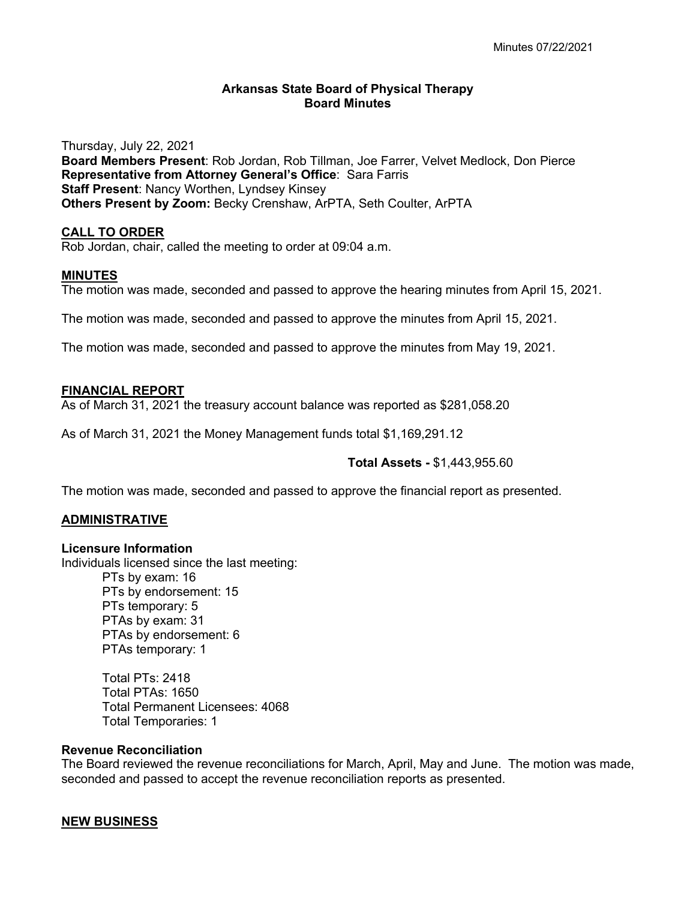### **Arkansas State Board of Physical Therapy Board Minutes**

Thursday, July 22, 2021 **Board Members Present**: Rob Jordan, Rob Tillman, Joe Farrer, Velvet Medlock, Don Pierce **Representative from Attorney General's Office**: Sara Farris **Staff Present**: Nancy Worthen, Lyndsey Kinsey **Others Present by Zoom:** Becky Crenshaw, ArPTA, Seth Coulter, ArPTA

#### **CALL TO ORDER**

Rob Jordan, chair, called the meeting to order at 09:04 a.m.

#### **MINUTES**

The motion was made, seconded and passed to approve the hearing minutes from April 15, 2021.

The motion was made, seconded and passed to approve the minutes from April 15, 2021.

The motion was made, seconded and passed to approve the minutes from May 19, 2021.

#### **FINANCIAL REPORT**

As of March 31, 2021 the treasury account balance was reported as \$281,058.20

As of March 31, 2021 the Money Management funds total \$1,169,291.12

#### **Total Assets -** \$1,443,955.60

The motion was made, seconded and passed to approve the financial report as presented.

#### **ADMINISTRATIVE**

#### **Licensure Information**

Individuals licensed since the last meeting:

PTs by exam: 16 PTs by endorsement: 15 PTs temporary: 5 PTAs by exam: 31 PTAs by endorsement: 6 PTAs temporary: 1

Total PTs: 2418 Total PTAs: 1650 Total Permanent Licensees: 4068 Total Temporaries: 1

#### **Revenue Reconciliation**

The Board reviewed the revenue reconciliations for March, April, May and June. The motion was made, seconded and passed to accept the revenue reconciliation reports as presented.

#### **NEW BUSINESS**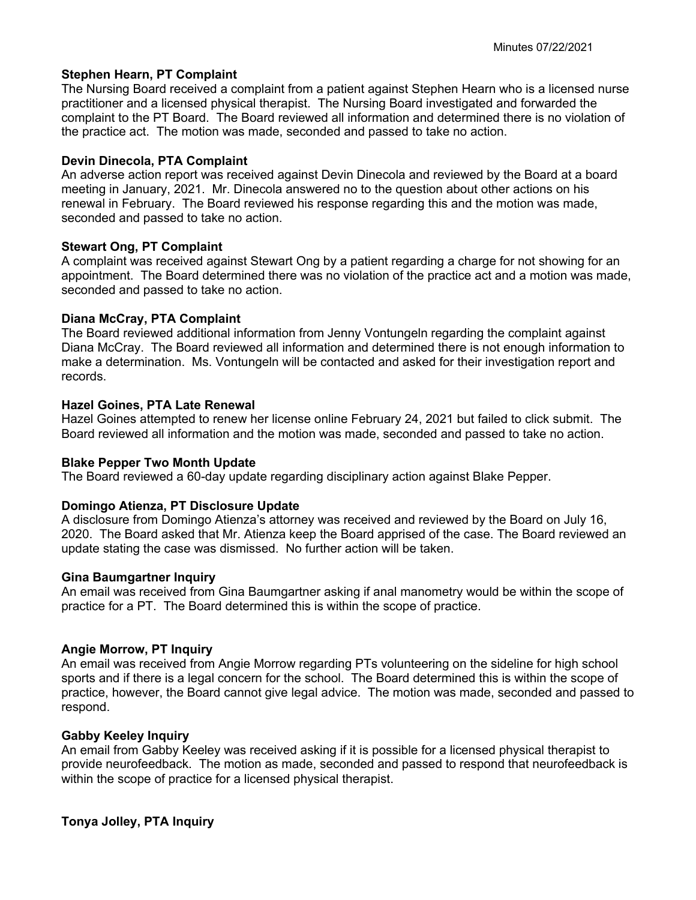## **Stephen Hearn, PT Complaint**

The Nursing Board received a complaint from a patient against Stephen Hearn who is a licensed nurse practitioner and a licensed physical therapist. The Nursing Board investigated and forwarded the complaint to the PT Board. The Board reviewed all information and determined there is no violation of the practice act. The motion was made, seconded and passed to take no action.

### **Devin Dinecola, PTA Complaint**

An adverse action report was received against Devin Dinecola and reviewed by the Board at a board meeting in January, 2021. Mr. Dinecola answered no to the question about other actions on his renewal in February. The Board reviewed his response regarding this and the motion was made, seconded and passed to take no action.

## **Stewart Ong, PT Complaint**

A complaint was received against Stewart Ong by a patient regarding a charge for not showing for an appointment. The Board determined there was no violation of the practice act and a motion was made, seconded and passed to take no action.

## **Diana McCray, PTA Complaint**

The Board reviewed additional information from Jenny Vontungeln regarding the complaint against Diana McCray. The Board reviewed all information and determined there is not enough information to make a determination. Ms. Vontungeln will be contacted and asked for their investigation report and records.

## **Hazel Goines, PTA Late Renewal**

Hazel Goines attempted to renew her license online February 24, 2021 but failed to click submit. The Board reviewed all information and the motion was made, seconded and passed to take no action.

#### **Blake Pepper Two Month Update**

The Board reviewed a 60-day update regarding disciplinary action against Blake Pepper.

#### **Domingo Atienza, PT Disclosure Update**

A disclosure from Domingo Atienza's attorney was received and reviewed by the Board on July 16, 2020. The Board asked that Mr. Atienza keep the Board apprised of the case. The Board reviewed an update stating the case was dismissed. No further action will be taken.

#### **Gina Baumgartner Inquiry**

An email was received from Gina Baumgartner asking if anal manometry would be within the scope of practice for a PT. The Board determined this is within the scope of practice.

#### **Angie Morrow, PT Inquiry**

An email was received from Angie Morrow regarding PTs volunteering on the sideline for high school sports and if there is a legal concern for the school. The Board determined this is within the scope of practice, however, the Board cannot give legal advice. The motion was made, seconded and passed to respond.

# **Gabby Keeley Inquiry**

An email from Gabby Keeley was received asking if it is possible for a licensed physical therapist to provide neurofeedback. The motion as made, seconded and passed to respond that neurofeedback is within the scope of practice for a licensed physical therapist.

# **Tonya Jolley, PTA Inquiry**